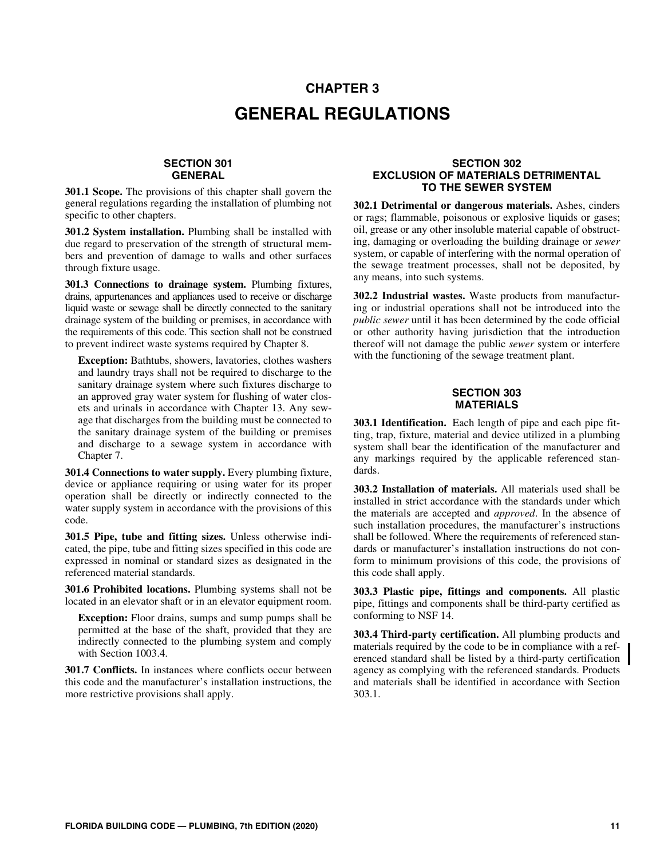# **CHAPTER 3 GENERAL REGULATIONS**

#### **SECTION 301 GENERAL**

**301.1 Scope.** The provisions of this chapter shall govern the general regulations regarding the installation of plumbing not specific to other chapters.

**301.2 System installation.** Plumbing shall be installed with due regard to preservation of the strength of structural members and prevention of damage to walls and other surfaces through fixture usage.

**301.3 Connections to drainage system.** Plumbing fixtures, drains, appurtenances and appliances used to receive or discharge liquid waste or sewage shall be directly connected to the sanitary drainage system of the building or premises, in accordance with the requirements of this code. This section shall not be construed to prevent indirect waste systems required by Chapter 8.

**Exception:** Bathtubs, showers, lavatories, clothes washers and laundry trays shall not be required to discharge to the sanitary drainage system where such fixtures discharge to an approved gray water system for flushing of water closets and urinals in accordance with Chapter 13. Any sewage that discharges from the building must be connected to the sanitary drainage system of the building or premises and discharge to a sewage system in accordance with Chapter 7.

**301.4 Connections to water supply.** Every plumbing fixture, device or appliance requiring or using water for its proper operation shall be directly or indirectly connected to the water supply system in accordance with the provisions of this code.

**301.5 Pipe, tube and fitting sizes.** Unless otherwise indicated, the pipe, tube and fitting sizes specified in this code are expressed in nominal or standard sizes as designated in the referenced material standards.

**301.6 Prohibited locations.** Plumbing systems shall not be located in an elevator shaft or in an elevator equipment room.

**Exception:** Floor drains, sumps and sump pumps shall be permitted at the base of the shaft, provided that they are indirectly connected to the plumbing system and comply with Section 1003.4.

**301.7 Conflicts.** In instances where conflicts occur between this code and the manufacturer's installation instructions, the more restrictive provisions shall apply.

#### **SECTION 302 EXCLUSION OF MATERIALS DETRIMENTAL TO THE SEWER SYSTEM**

**302.1 Detrimental or dangerous materials.** Ashes, cinders or rags; flammable, poisonous or explosive liquids or gases; oil, grease or any other insoluble material capable of obstructing, damaging or overloading the building drainage or *sewer* system, or capable of interfering with the normal operation of the sewage treatment processes, shall not be deposited, by any means, into such systems.

**302.2 Industrial wastes.** Waste products from manufacturing or industrial operations shall not be introduced into the *public sewer* until it has been determined by the code official or other authority having jurisdiction that the introduction thereof will not damage the public *sewer* system or interfere with the functioning of the sewage treatment plant.

### **SECTION 303 MATERIALS**

**303.1 Identification.** Each length of pipe and each pipe fitting, trap, fixture, material and device utilized in a plumbing system shall bear the identification of the manufacturer and any markings required by the applicable referenced standards.

**303.2 Installation of materials.** All materials used shall be installed in strict accordance with the standards under which the materials are accepted and *approved*. In the absence of such installation procedures, the manufacturer's instructions shall be followed. Where the requirements of referenced standards or manufacturer's installation instructions do not conform to minimum provisions of this code, the provisions of this code shall apply.

**303.3 Plastic pipe, fittings and components.** All plastic pipe, fittings and components shall be third-party certified as conforming to NSF 14.

**303.4 Third-party certification.** All plumbing products and materials required by the code to be in compliance with a referenced standard shall be listed by a third-party certification agency as complying with the referenced standards. Products and materials shall be identified in accordance with Section 303.1.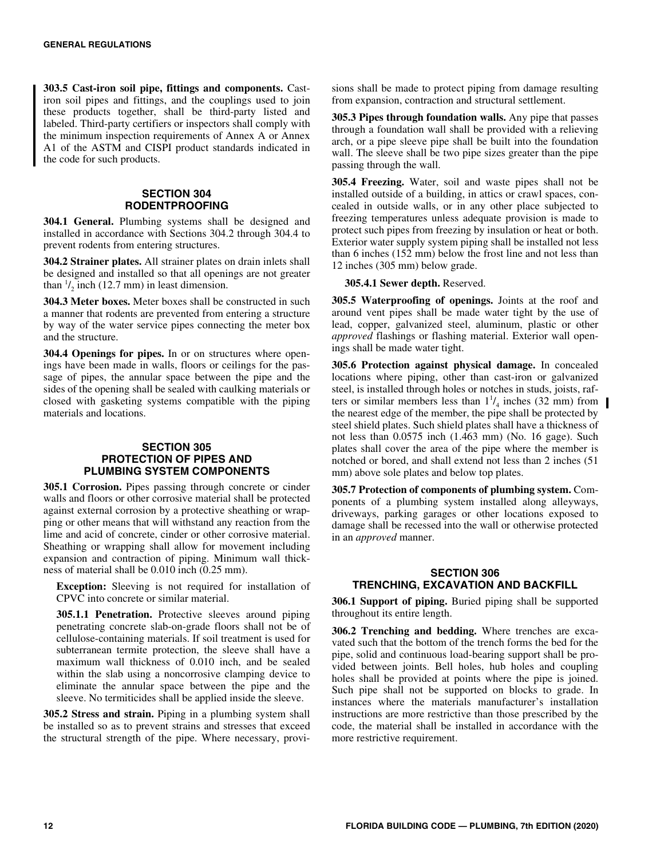**303.5 Cast-iron soil pipe, fittings and components.** Castiron soil pipes and fittings, and the couplings used to join these products together, shall be third-party listed and labeled. Third-party certifiers or inspectors shall comply with the minimum inspection requirements of Annex A or Annex A1 of the ASTM and CISPI product standards indicated in the code for such products.

#### **SECTION 304 RODENTPROOFING**

**304.1 General.** Plumbing systems shall be designed and installed in accordance with Sections 304.2 through 304.4 to prevent rodents from entering structures.

**304.2 Strainer plates.** All strainer plates on drain inlets shall be designed and installed so that all openings are not greater than  $\frac{1}{2}$  inch (12.7 mm) in least dimension.

**304.3 Meter boxes.** Meter boxes shall be constructed in such a manner that rodents are prevented from entering a structure by way of the water service pipes connecting the meter box and the structure.

**304.4 Openings for pipes.** In or on structures where openings have been made in walls, floors or ceilings for the passage of pipes, the annular space between the pipe and the sides of the opening shall be sealed with caulking materials or closed with gasketing systems compatible with the piping materials and locations.

#### **SECTION 305 PROTECTION OF PIPES AND PLUMBING SYSTEM COMPONENTS**

**305.1 Corrosion.** Pipes passing through concrete or cinder walls and floors or other corrosive material shall be protected against external corrosion by a protective sheathing or wrapping or other means that will withstand any reaction from the lime and acid of concrete, cinder or other corrosive material. Sheathing or wrapping shall allow for movement including expansion and contraction of piping. Minimum wall thickness of material shall be 0.010 inch (0.25 mm).

**Exception:** Sleeving is not required for installation of CPVC into concrete or similar material.

**305.1.1 Penetration.** Protective sleeves around piping penetrating concrete slab-on-grade floors shall not be of cellulose-containing materials. If soil treatment is used for subterranean termite protection, the sleeve shall have a maximum wall thickness of 0.010 inch, and be sealed within the slab using a noncorrosive clamping device to eliminate the annular space between the pipe and the sleeve. No termiticides shall be applied inside the sleeve.

**305.2 Stress and strain.** Piping in a plumbing system shall be installed so as to prevent strains and stresses that exceed the structural strength of the pipe. Where necessary, provisions shall be made to protect piping from damage resulting from expansion, contraction and structural settlement.

**305.3 Pipes through foundation walls.** Any pipe that passes through a foundation wall shall be provided with a relieving arch, or a pipe sleeve pipe shall be built into the foundation wall. The sleeve shall be two pipe sizes greater than the pipe passing through the wall.

**305.4 Freezing.** Water, soil and waste pipes shall not be installed outside of a building, in attics or crawl spaces, concealed in outside walls, or in any other place subjected to freezing temperatures unless adequate provision is made to protect such pipes from freezing by insulation or heat or both. Exterior water supply system piping shall be installed not less than 6 inches (152 mm) below the frost line and not less than 12 inches (305 mm) below grade.

#### **305.4.1 Sewer depth.** Reserved.

**305.5 Waterproofing of openings.** Joints at the roof and around vent pipes shall be made water tight by the use of lead, copper, galvanized steel, aluminum, plastic or other *approved* flashings or flashing material. Exterior wall openings shall be made water tight.

**305.6 Protection against physical damage.** In concealed locations where piping, other than cast-iron or galvanized steel, is installed through holes or notches in studs, joists, rafters or similar members less than  $1^{1}/_{4}$  inches (32 mm) from the nearest edge of the member, the pipe shall be protected by steel shield plates. Such shield plates shall have a thickness of not less than 0.0575 inch (1.463 mm) (No. 16 gage). Such plates shall cover the area of the pipe where the member is notched or bored, and shall extend not less than 2 inches (51 mm) above sole plates and below top plates.

**305.7 Protection of components of plumbing system.** Components of a plumbing system installed along alleyways, driveways, parking garages or other locations exposed to damage shall be recessed into the wall or otherwise protected in an *approved* manner.

#### **SECTION 306 TRENCHING, EXCAVATION AND BACKFILL**

**306.1 Support of piping.** Buried piping shall be supported throughout its entire length.

**306.2 Trenching and bedding.** Where trenches are excavated such that the bottom of the trench forms the bed for the pipe, solid and continuous load-bearing support shall be provided between joints. Bell holes, hub holes and coupling holes shall be provided at points where the pipe is joined. Such pipe shall not be supported on blocks to grade. In instances where the materials manufacturer's installation instructions are more restrictive than those prescribed by the code, the material shall be installed in accordance with the more restrictive requirement.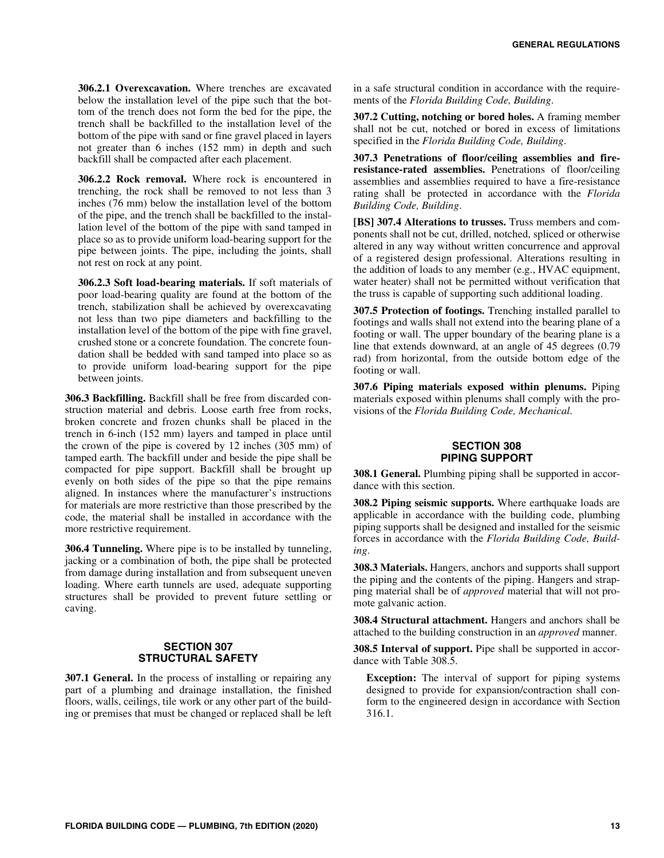**306.2.1 Overexcavation.** Where trenches are excavated below the installation level of the pipe such that the bottom of the trench does not form the bed for the pipe, the trench shall be backfilled to the installation level of the bottom of the pipe with sand or fine gravel placed in layers not greater than 6 inches (152 mm) in depth and such backfill shall be compacted after each placement.

**306.2.2 Rock removal.** Where rock is encountered in trenching, the rock shall be removed to not less than 3 inches (76 mm) below the installation level of the bottom of the pipe, and the trench shall be backfilled to the installation level of the bottom of the pipe with sand tamped in place so as to provide uniform load-bearing support for the pipe between joints. The pipe, including the joints, shall not rest on rock at any point.

**306.2.3 Soft load-bearing materials.** If soft materials of poor load-bearing quality are found at the bottom of the trench, stabilization shall be achieved by overexcavating not less than two pipe diameters and backfilling to the installation level of the bottom of the pipe with fine gravel, crushed stone or a concrete foundation. The concrete foundation shall be bedded with sand tamped into place so as to provide uniform load-bearing support for the pipe between joints.

**306.3 Backfilling.** Backfill shall be free from discarded construction material and debris. Loose earth free from rocks, broken concrete and frozen chunks shall be placed in the trench in 6-inch (152 mm) layers and tamped in place until the crown of the pipe is covered by 12 inches (305 mm) of tamped earth. The backfill under and beside the pipe shall be compacted for pipe support. Backfill shall be brought up evenly on both sides of the pipe so that the pipe remains aligned. In instances where the manufacturer's instructions for materials are more restrictive than those prescribed by the code, the material shall be installed in accordance with the more restrictive requirement.

**306.4 Tunneling.** Where pipe is to be installed by tunneling, jacking or a combination of both, the pipe shall be protected from damage during installation and from subsequent uneven loading. Where earth tunnels are used, adequate supporting structures shall be provided to prevent future settling or caving.

#### **SECTION 307 STRUCTURAL SAFETY**

**307.1 General.** In the process of installing or repairing any part of a plumbing and drainage installation, the finished floors, walls, ceilings, tile work or any other part of the building or premises that must be changed or replaced shall be left in a safe structural condition in accordance with the requirements of the *Florida Building Code, Building*.

**307.2 Cutting, notching or bored holes.** A framing member shall not be cut, notched or bored in excess of limitations specified in the *Florida Building Code, Building*.

**307.3 Penetrations of floor/ceiling assemblies and fireresistance-rated assemblies.** Penetrations of floor/ceiling assemblies and assemblies required to have a fire-resistance rating shall be protected in accordance with the *Florida Building Code, Building*.

**[BS] 307.4 Alterations to trusses.** Truss members and components shall not be cut, drilled, notched, spliced or otherwise altered in any way without written concurrence and approval of a registered design professional. Alterations resulting in the addition of loads to any member (e.g., HVAC equipment, water heater) shall not be permitted without verification that the truss is capable of supporting such additional loading.

**307.5 Protection of footings.** Trenching installed parallel to footings and walls shall not extend into the bearing plane of a footing or wall. The upper boundary of the bearing plane is a line that extends downward, at an angle of 45 degrees (0.79 rad) from horizontal, from the outside bottom edge of the footing or wall.

**307.6 Piping materials exposed within plenums.** Piping materials exposed within plenums shall comply with the provisions of the *Florida Building Code, Mechanical*.

#### **SECTION 308 PIPING SUPPORT**

**308.1 General.** Plumbing piping shall be supported in accordance with this section.

**308.2 Piping seismic supports.** Where earthquake loads are applicable in accordance with the building code, plumbing piping supports shall be designed and installed for the seismic forces in accordance with the *Florida Building Code, Building*.

**308.3 Materials.** Hangers, anchors and supports shall support the piping and the contents of the piping. Hangers and strapping material shall be of *approved* material that will not promote galvanic action.

**308.4 Structural attachment.** Hangers and anchors shall be attached to the building construction in an *approved* manner.

**308.5 Interval of support.** Pipe shall be supported in accordance with Table 308.5.

**Exception:** The interval of support for piping systems designed to provide for expansion/contraction shall conform to the engineered design in accordance with Section 316.1.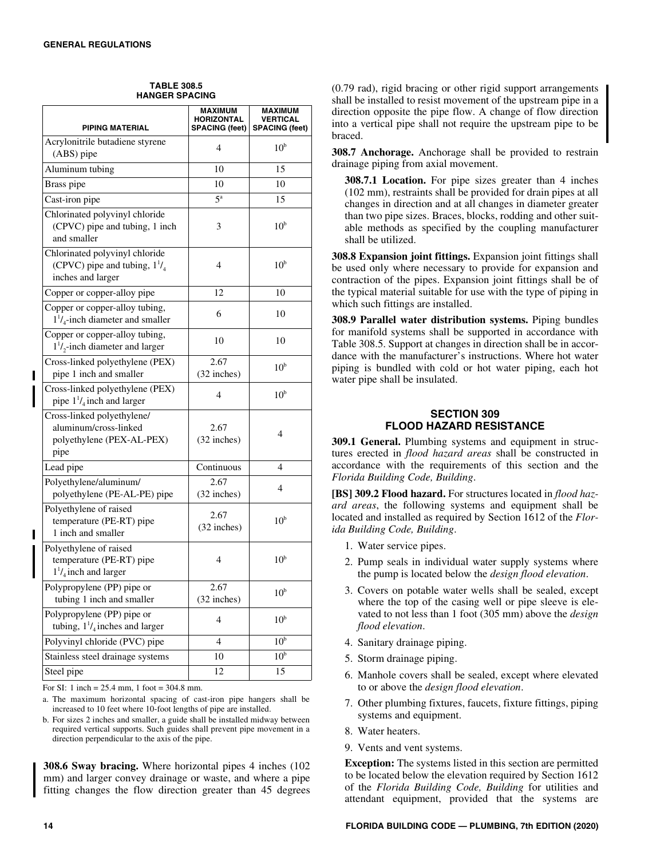| <b>HORIZONTAL</b><br><b>VERTICAL</b><br><b>PIPING MATERIAL</b><br><b>SPACING (feet)</b><br><b>SPACING (feet)</b><br>Acrylonitrile butadiene styrene<br>10 <sup>b</sup><br>4<br>(ABS) pipe<br>Aluminum tubing<br>10<br>15<br>Brass pipe<br>10<br>10<br>$5^{\rm a}$<br>Cast-iron pipe<br>15<br>Chlorinated polyvinyl chloride<br>(CPVC) pipe and tubing, 1 inch<br>10 <sup>b</sup><br>3<br>and smaller<br>Chlorinated polyvinyl chloride<br>(CPVC) pipe and tubing, $1^{1}/_{4}$<br>10 <sup>b</sup><br>4<br>inches and larger<br>Copper or copper-alloy pipe<br>12<br>10<br>Copper or copper-alloy tubing,<br>6<br>10<br>$1^{1}/_{4}$ -inch diameter and smaller<br>Copper or copper-alloy tubing,<br>10<br>10<br>$1^{1}/$ <sub>2</sub> -inch diameter and larger<br>Cross-linked polyethylene (PEX)<br>2.67<br>10 <sup>b</sup><br>(32 inches)<br>pipe 1 inch and smaller<br>Cross-linked polyethylene (PEX)<br>10 <sup>b</sup><br>4<br>pipe $1^{1}/_{4}$ inch and larger<br>Cross-linked polyethylene/<br>aluminum/cross-linked<br>2.67<br>4<br>polyethylene (PEX-AL-PEX)<br>(32 inches)<br>pipe<br>Lead pipe<br>Continuous<br>4<br>Polyethylene/aluminum/<br>2.67<br>4<br>polyethylene (PE-AL-PE) pipe<br>(32 inches)<br>Polyethylene of raised<br>2.67<br>10 <sup>b</sup><br>temperature (PE-RT) pipe<br>(32 inches)<br>1 inch and smaller<br>Polyethylene of raised<br>10 <sup>b</sup><br>temperature (PE-RT) pipe<br>4<br>$1^{1}/_{4}$ inch and larger<br>Polypropylene (PP) pipe or<br>2.67<br>10 <sup>b</sup><br>tubing 1 inch and smaller<br>(32 inches)<br>Polypropylene (PP) pipe or<br>10 <sup>b</sup><br>4<br>tubing, $1\frac{1}{4}$ inches and larger<br>10 <sup>b</sup><br>Polyvinyl chloride (PVC) pipe<br>4<br>10 <sup>b</sup><br>Stainless steel drainage systems<br>10 |            | <b>MAXIMUM</b> | MAXIMUM |
|----------------------------------------------------------------------------------------------------------------------------------------------------------------------------------------------------------------------------------------------------------------------------------------------------------------------------------------------------------------------------------------------------------------------------------------------------------------------------------------------------------------------------------------------------------------------------------------------------------------------------------------------------------------------------------------------------------------------------------------------------------------------------------------------------------------------------------------------------------------------------------------------------------------------------------------------------------------------------------------------------------------------------------------------------------------------------------------------------------------------------------------------------------------------------------------------------------------------------------------------------------------------------------------------------------------------------------------------------------------------------------------------------------------------------------------------------------------------------------------------------------------------------------------------------------------------------------------------------------------------------------------------------------------------------------------------------------------------------------------------------------------------------------------|------------|----------------|---------|
|                                                                                                                                                                                                                                                                                                                                                                                                                                                                                                                                                                                                                                                                                                                                                                                                                                                                                                                                                                                                                                                                                                                                                                                                                                                                                                                                                                                                                                                                                                                                                                                                                                                                                                                                                                                        |            |                |         |
|                                                                                                                                                                                                                                                                                                                                                                                                                                                                                                                                                                                                                                                                                                                                                                                                                                                                                                                                                                                                                                                                                                                                                                                                                                                                                                                                                                                                                                                                                                                                                                                                                                                                                                                                                                                        |            |                |         |
|                                                                                                                                                                                                                                                                                                                                                                                                                                                                                                                                                                                                                                                                                                                                                                                                                                                                                                                                                                                                                                                                                                                                                                                                                                                                                                                                                                                                                                                                                                                                                                                                                                                                                                                                                                                        |            |                |         |
|                                                                                                                                                                                                                                                                                                                                                                                                                                                                                                                                                                                                                                                                                                                                                                                                                                                                                                                                                                                                                                                                                                                                                                                                                                                                                                                                                                                                                                                                                                                                                                                                                                                                                                                                                                                        |            |                |         |
|                                                                                                                                                                                                                                                                                                                                                                                                                                                                                                                                                                                                                                                                                                                                                                                                                                                                                                                                                                                                                                                                                                                                                                                                                                                                                                                                                                                                                                                                                                                                                                                                                                                                                                                                                                                        |            |                |         |
|                                                                                                                                                                                                                                                                                                                                                                                                                                                                                                                                                                                                                                                                                                                                                                                                                                                                                                                                                                                                                                                                                                                                                                                                                                                                                                                                                                                                                                                                                                                                                                                                                                                                                                                                                                                        |            |                |         |
|                                                                                                                                                                                                                                                                                                                                                                                                                                                                                                                                                                                                                                                                                                                                                                                                                                                                                                                                                                                                                                                                                                                                                                                                                                                                                                                                                                                                                                                                                                                                                                                                                                                                                                                                                                                        |            |                |         |
|                                                                                                                                                                                                                                                                                                                                                                                                                                                                                                                                                                                                                                                                                                                                                                                                                                                                                                                                                                                                                                                                                                                                                                                                                                                                                                                                                                                                                                                                                                                                                                                                                                                                                                                                                                                        |            |                |         |
|                                                                                                                                                                                                                                                                                                                                                                                                                                                                                                                                                                                                                                                                                                                                                                                                                                                                                                                                                                                                                                                                                                                                                                                                                                                                                                                                                                                                                                                                                                                                                                                                                                                                                                                                                                                        |            |                |         |
|                                                                                                                                                                                                                                                                                                                                                                                                                                                                                                                                                                                                                                                                                                                                                                                                                                                                                                                                                                                                                                                                                                                                                                                                                                                                                                                                                                                                                                                                                                                                                                                                                                                                                                                                                                                        |            |                |         |
|                                                                                                                                                                                                                                                                                                                                                                                                                                                                                                                                                                                                                                                                                                                                                                                                                                                                                                                                                                                                                                                                                                                                                                                                                                                                                                                                                                                                                                                                                                                                                                                                                                                                                                                                                                                        |            |                |         |
|                                                                                                                                                                                                                                                                                                                                                                                                                                                                                                                                                                                                                                                                                                                                                                                                                                                                                                                                                                                                                                                                                                                                                                                                                                                                                                                                                                                                                                                                                                                                                                                                                                                                                                                                                                                        |            |                |         |
|                                                                                                                                                                                                                                                                                                                                                                                                                                                                                                                                                                                                                                                                                                                                                                                                                                                                                                                                                                                                                                                                                                                                                                                                                                                                                                                                                                                                                                                                                                                                                                                                                                                                                                                                                                                        |            |                |         |
|                                                                                                                                                                                                                                                                                                                                                                                                                                                                                                                                                                                                                                                                                                                                                                                                                                                                                                                                                                                                                                                                                                                                                                                                                                                                                                                                                                                                                                                                                                                                                                                                                                                                                                                                                                                        |            |                |         |
|                                                                                                                                                                                                                                                                                                                                                                                                                                                                                                                                                                                                                                                                                                                                                                                                                                                                                                                                                                                                                                                                                                                                                                                                                                                                                                                                                                                                                                                                                                                                                                                                                                                                                                                                                                                        |            |                |         |
|                                                                                                                                                                                                                                                                                                                                                                                                                                                                                                                                                                                                                                                                                                                                                                                                                                                                                                                                                                                                                                                                                                                                                                                                                                                                                                                                                                                                                                                                                                                                                                                                                                                                                                                                                                                        |            |                |         |
|                                                                                                                                                                                                                                                                                                                                                                                                                                                                                                                                                                                                                                                                                                                                                                                                                                                                                                                                                                                                                                                                                                                                                                                                                                                                                                                                                                                                                                                                                                                                                                                                                                                                                                                                                                                        |            |                |         |
|                                                                                                                                                                                                                                                                                                                                                                                                                                                                                                                                                                                                                                                                                                                                                                                                                                                                                                                                                                                                                                                                                                                                                                                                                                                                                                                                                                                                                                                                                                                                                                                                                                                                                                                                                                                        |            |                |         |
|                                                                                                                                                                                                                                                                                                                                                                                                                                                                                                                                                                                                                                                                                                                                                                                                                                                                                                                                                                                                                                                                                                                                                                                                                                                                                                                                                                                                                                                                                                                                                                                                                                                                                                                                                                                        |            |                |         |
|                                                                                                                                                                                                                                                                                                                                                                                                                                                                                                                                                                                                                                                                                                                                                                                                                                                                                                                                                                                                                                                                                                                                                                                                                                                                                                                                                                                                                                                                                                                                                                                                                                                                                                                                                                                        |            |                |         |
|                                                                                                                                                                                                                                                                                                                                                                                                                                                                                                                                                                                                                                                                                                                                                                                                                                                                                                                                                                                                                                                                                                                                                                                                                                                                                                                                                                                                                                                                                                                                                                                                                                                                                                                                                                                        |            |                |         |
|                                                                                                                                                                                                                                                                                                                                                                                                                                                                                                                                                                                                                                                                                                                                                                                                                                                                                                                                                                                                                                                                                                                                                                                                                                                                                                                                                                                                                                                                                                                                                                                                                                                                                                                                                                                        | Steel pipe | 12             | 15      |

**TABLE 308.5 HANGER SPACING**

For SI: 1 inch =  $25.4$  mm, 1 foot =  $304.8$  mm.

a. The maximum horizontal spacing of cast-iron pipe hangers shall be increased to 10 feet where 10-foot lengths of pipe are installed.

b. For sizes 2 inches and smaller, a guide shall be installed midway between required vertical supports. Such guides shall prevent pipe movement in a direction perpendicular to the axis of the pipe.

**308.6 Sway bracing.** Where horizontal pipes 4 inches (102 mm) and larger convey drainage or waste, and where a pipe fitting changes the flow direction greater than 45 degrees (0.79 rad), rigid bracing or other rigid support arrangements shall be installed to resist movement of the upstream pipe in a direction opposite the pipe flow. A change of flow direction into a vertical pipe shall not require the upstream pipe to be braced.

**308.7 Anchorage.** Anchorage shall be provided to restrain drainage piping from axial movement.

**308.7.1 Location.** For pipe sizes greater than 4 inches (102 mm), restraints shall be provided for drain pipes at all changes in direction and at all changes in diameter greater than two pipe sizes. Braces, blocks, rodding and other suitable methods as specified by the coupling manufacturer shall be utilized.

**308.8 Expansion joint fittings.** Expansion joint fittings shall be used only where necessary to provide for expansion and contraction of the pipes. Expansion joint fittings shall be of the typical material suitable for use with the type of piping in which such fittings are installed.

**308.9 Parallel water distribution systems.** Piping bundles for manifold systems shall be supported in accordance with Table 308.5. Support at changes in direction shall be in accordance with the manufacturer's instructions. Where hot water piping is bundled with cold or hot water piping, each hot water pipe shall be insulated.

## **SECTION 309 FLOOD HAZARD RESISTANCE**

**309.1 General.** Plumbing systems and equipment in structures erected in *flood hazard areas* shall be constructed in accordance with the requirements of this section and the *Florida Building Code, Building*.

**[BS] 309.2 Flood hazard.** For structures located in *flood hazard areas*, the following systems and equipment shall be located and installed as required by Section 1612 of the *Florida Building Code, Building*.

- 1. Water service pipes.
- 2. Pump seals in individual water supply systems where the pump is located below the *design flood elevation*.
- 3. Covers on potable water wells shall be sealed, except where the top of the casing well or pipe sleeve is elevated to not less than 1 foot (305 mm) above the *design flood elevation*.
- 4. Sanitary drainage piping.
- 5. Storm drainage piping.
- 6. Manhole covers shall be sealed, except where elevated to or above the *design flood elevation*.
- 7. Other plumbing fixtures, faucets, fixture fittings, piping systems and equipment.
- 8. Water heaters.
- 9. Vents and vent systems.

**Exception:** The systems listed in this section are permitted to be located below the elevation required by Section 1612 of the *Florida Building Code, Building* for utilities and attendant equipment, provided that the systems are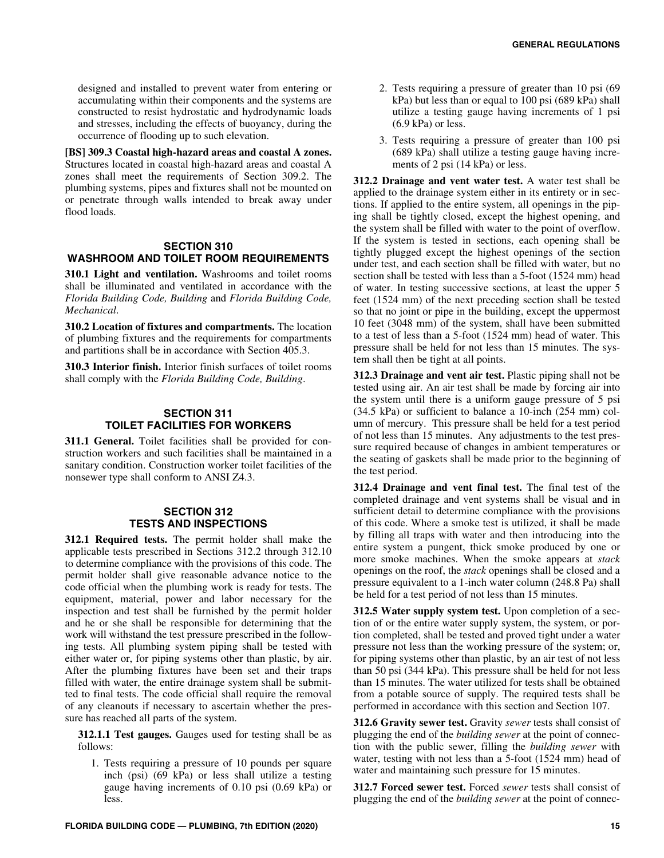designed and installed to prevent water from entering or accumulating within their components and the systems are constructed to resist hydrostatic and hydrodynamic loads and stresses, including the effects of buoyancy, during the occurrence of flooding up to such elevation.

**[BS] 309.3 Coastal high-hazard areas and coastal A zones.** Structures located in coastal high-hazard areas and coastal A zones shall meet the requirements of Section 309.2. The plumbing systems, pipes and fixtures shall not be mounted on or penetrate through walls intended to break away under flood loads.

#### **SECTION 310 WASHROOM AND TOILET ROOM REQUIREMENTS**

**310.1 Light and ventilation.** Washrooms and toilet rooms shall be illuminated and ventilated in accordance with the *Florida Building Code, Building* and *Florida Building Code, Mechanical*.

**310.2 Location of fixtures and compartments.** The location of plumbing fixtures and the requirements for compartments and partitions shall be in accordance with Section 405.3.

**310.3 Interior finish.** Interior finish surfaces of toilet rooms shall comply with the *Florida Building Code, Building*.

#### **SECTION 311 TOILET FACILITIES FOR WORKERS**

**311.1 General.** Toilet facilities shall be provided for construction workers and such facilities shall be maintained in a sanitary condition. Construction worker toilet facilities of the nonsewer type shall conform to ANSI Z4.3.

#### **SECTION 312 TESTS AND INSPECTIONS**

**312.1 Required tests.** The permit holder shall make the applicable tests prescribed in Sections 312.2 through 312.10 to determine compliance with the provisions of this code. The permit holder shall give reasonable advance notice to the code official when the plumbing work is ready for tests. The equipment, material, power and labor necessary for the inspection and test shall be furnished by the permit holder and he or she shall be responsible for determining that the work will withstand the test pressure prescribed in the following tests. All plumbing system piping shall be tested with either water or, for piping systems other than plastic, by air. After the plumbing fixtures have been set and their traps filled with water, the entire drainage system shall be submitted to final tests. The code official shall require the removal of any cleanouts if necessary to ascertain whether the pressure has reached all parts of the system.

**312.1.1 Test gauges.** Gauges used for testing shall be as follows:

1. Tests requiring a pressure of 10 pounds per square inch (psi) (69 kPa) or less shall utilize a testing gauge having increments of 0.10 psi (0.69 kPa) or less.

- 2. Tests requiring a pressure of greater than 10 psi (69 kPa) but less than or equal to 100 psi (689 kPa) shall utilize a testing gauge having increments of 1 psi  $(6.9 \text{ kPa})$  or less.
- 3. Tests requiring a pressure of greater than 100 psi (689 kPa) shall utilize a testing gauge having increments of 2 psi (14 kPa) or less.

**312.2 Drainage and vent water test.** A water test shall be applied to the drainage system either in its entirety or in sections. If applied to the entire system, all openings in the piping shall be tightly closed, except the highest opening, and the system shall be filled with water to the point of overflow. If the system is tested in sections, each opening shall be tightly plugged except the highest openings of the section under test, and each section shall be filled with water, but no section shall be tested with less than a 5-foot (1524 mm) head of water. In testing successive sections, at least the upper 5 feet (1524 mm) of the next preceding section shall be tested so that no joint or pipe in the building, except the uppermost 10 feet (3048 mm) of the system, shall have been submitted to a test of less than a 5-foot (1524 mm) head of water. This pressure shall be held for not less than 15 minutes. The system shall then be tight at all points.

**312.3 Drainage and vent air test.** Plastic piping shall not be tested using air. An air test shall be made by forcing air into the system until there is a uniform gauge pressure of 5 psi (34.5 kPa) or sufficient to balance a 10-inch (254 mm) column of mercury. This pressure shall be held for a test period of not less than 15 minutes. Any adjustments to the test pressure required because of changes in ambient temperatures or the seating of gaskets shall be made prior to the beginning of the test period.

**312.4 Drainage and vent final test.** The final test of the completed drainage and vent systems shall be visual and in sufficient detail to determine compliance with the provisions of this code. Where a smoke test is utilized, it shall be made by filling all traps with water and then introducing into the entire system a pungent, thick smoke produced by one or more smoke machines. When the smoke appears at *stack* openings on the roof, the *stack* openings shall be closed and a pressure equivalent to a 1-inch water column (248.8 Pa) shall be held for a test period of not less than 15 minutes.

**312.5 Water supply system test.** Upon completion of a section of or the entire water supply system, the system, or portion completed, shall be tested and proved tight under a water pressure not less than the working pressure of the system; or, for piping systems other than plastic, by an air test of not less than 50 psi (344 kPa). This pressure shall be held for not less than 15 minutes. The water utilized for tests shall be obtained from a potable source of supply. The required tests shall be performed in accordance with this section and Section 107.

**312.6 Gravity sewer test.** Gravity *sewer* tests shall consist of plugging the end of the *building sewer* at the point of connection with the public sewer, filling the *building sewer* with water, testing with not less than a 5-foot (1524 mm) head of water and maintaining such pressure for 15 minutes.

**312.7 Forced sewer test.** Forced *sewer* tests shall consist of plugging the end of the *building sewer* at the point of connec